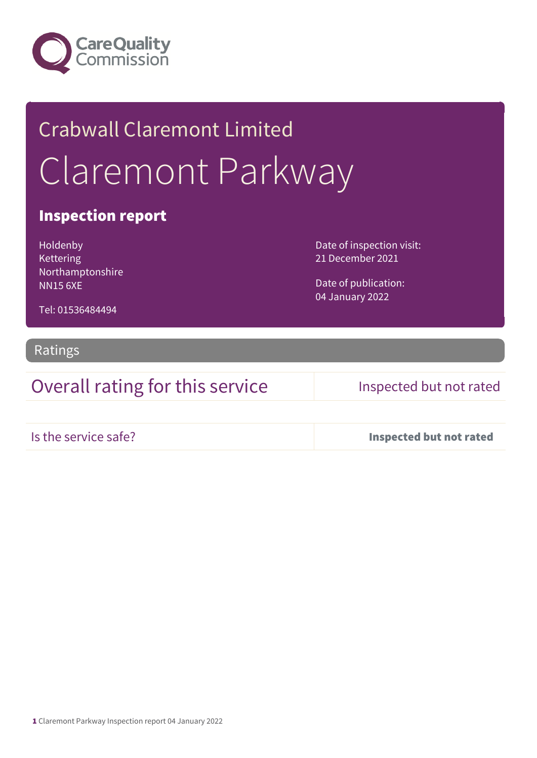

# Crabwall Claremont Limited Claremont Parkway

### Inspection report

Holdenby Kettering Northamptonshire NN15 6XE

Date of inspection visit: 21 December 2021

Date of publication: 04 January 2022

Tel: 01536484494

### Ratings

Overall rating for this service Inspected but not rated

Is the service safe? Inspected but not rated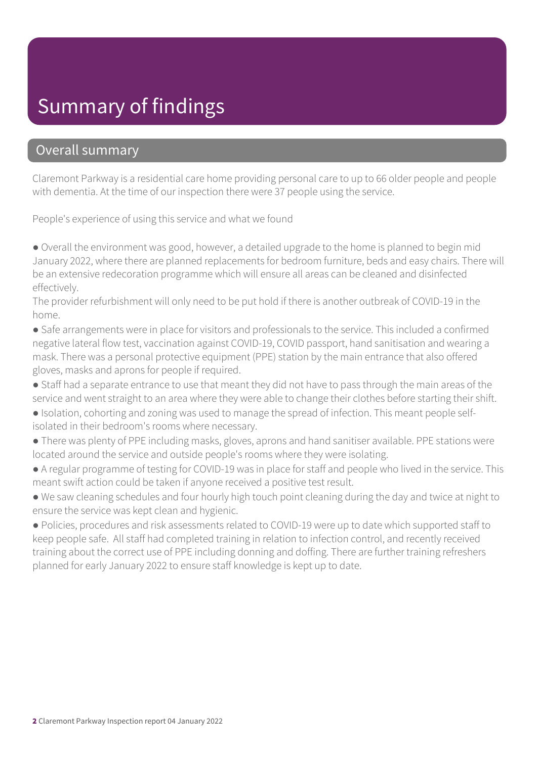## Summary of findings

### Overall summary

Claremont Parkway is a residential care home providing personal care to up to 66 older people and people with dementia. At the time of our inspection there were 37 people using the service.

People's experience of using this service and what we found

● Overall the environment was good, however, a detailed upgrade to the home is planned to begin mid January 2022, where there are planned replacements for bedroom furniture, beds and easy chairs. There will be an extensive redecoration programme which will ensure all areas can be cleaned and disinfected effectively.

The provider refurbishment will only need to be put hold if there is another outbreak of COVID-19 in the home.

● Safe arrangements were in place for visitors and professionals to the service. This included a confirmed negative lateral flow test, vaccination against COVID-19, COVID passport, hand sanitisation and wearing a mask. There was a personal protective equipment (PPE) station by the main entrance that also offered gloves, masks and aprons for people if required.

- Staff had a separate entrance to use that meant they did not have to pass through the main areas of the service and went straight to an area where they were able to change their clothes before starting their shift.
- Isolation, cohorting and zoning was used to manage the spread of infection. This meant people selfisolated in their bedroom's rooms where necessary.
- There was plenty of PPE including masks, gloves, aprons and hand sanitiser available. PPE stations were located around the service and outside people's rooms where they were isolating.
- A regular programme of testing for COVID-19 was in place for staff and people who lived in the service. This meant swift action could be taken if anyone received a positive test result.
- We saw cleaning schedules and four hourly high touch point cleaning during the day and twice at night to ensure the service was kept clean and hygienic.

● Policies, procedures and risk assessments related to COVID-19 were up to date which supported staff to keep people safe. All staff had completed training in relation to infection control, and recently received training about the correct use of PPE including donning and doffing. There are further training refreshers planned for early January 2022 to ensure staff knowledge is kept up to date.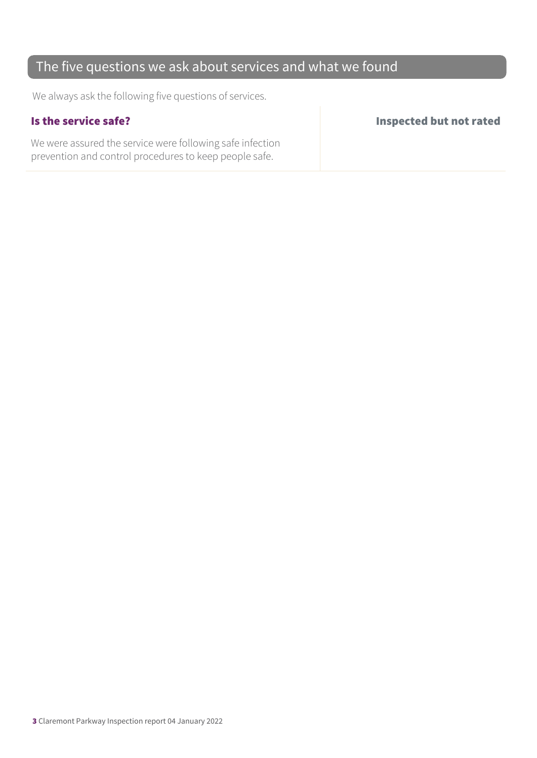### The five questions we ask about services and what we found

We always ask the following five questions of services.

We were assured the service were following safe infection prevention and control procedures to keep people safe.

Is the service safe? Inspected but not rated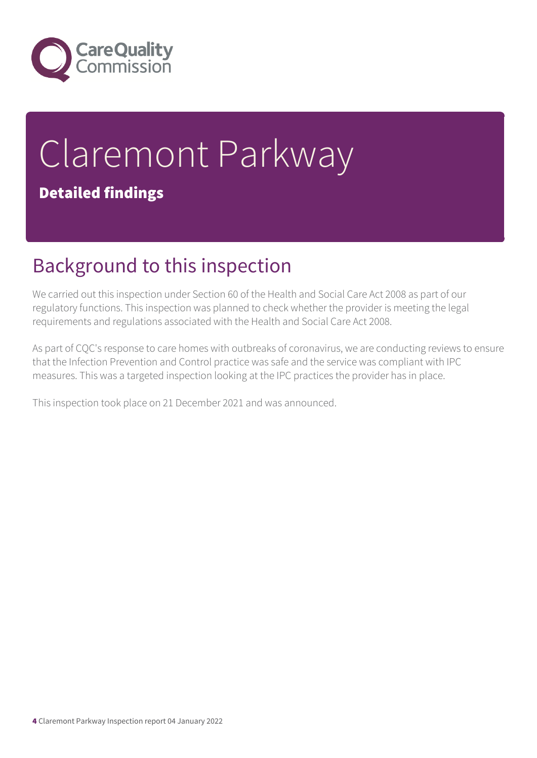

# Claremont Parkway Detailed findings

## Background to this inspection

We carried out this inspection under Section 60 of the Health and Social Care Act 2008 as part of our regulatory functions. This inspection was planned to check whether the provider is meeting the legal requirements and regulations associated with the Health and Social Care Act 2008.

As part of CQC's response to care homes with outbreaks of coronavirus, we are conducting reviews to ensure that the Infection Prevention and Control practice was safe and the service was compliant with IPC measures. This was a targeted inspection looking at the IPC practices the provider has in place.

This inspection took place on 21 December 2021 and was announced.